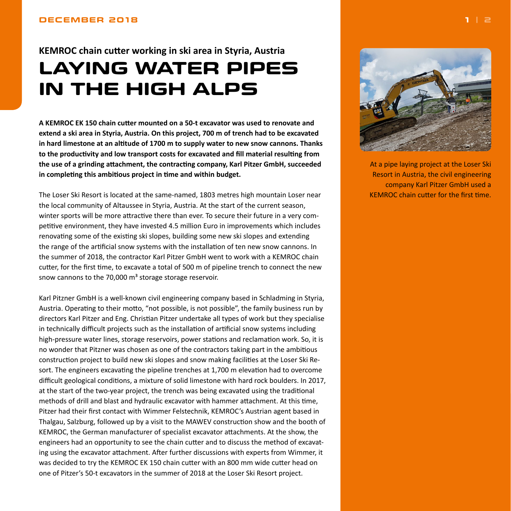## <span id="page-0-0"></span>**DECEMBER 2018 1 | [2](#page-1-0)**

## **KEMROC chain cutter working in ski area in Styria, Austria LAYING WATER PIPES IN THE HIGH ALPS**

**A KEMROC EK 150 chain cutter mounted on a 50-t excavator was used to renovate and extend a ski area in Styria, Austria. On this project, 700 m of trench had to be excavated in hard limestone at an altitude of 1700 m to supply water to new snow cannons. Thanks to the productivity and low transport costs for excavated and fill material resulting from the use of a grinding attachment, the contracting company, Karl Pitzer GmbH, succeeded in completing this ambitious project in time and within budget.**

The Loser Ski Resort is located at the same-named, 1803 metres high mountain Loser near the local community of Altaussee in Styria, Austria. At the start of the current season, winter sports will be more attractive there than ever. To secure their future in a very competitive environment, they have invested 4.5 million Euro in improvements which includes renovating some of the existing ski slopes, building some new ski slopes and extending the range of the artificial snow systems with the installation of ten new snow cannons. In the summer of 2018, the contractor Karl Pitzer GmbH went to work with a KEMROC chain cutter, for the first time, to excavate a total of 500 m of pipeline trench to connect the new snow cannons to the 70,000 m<sup>3</sup> storage storage reservoir.

Karl Pitzner GmbH is a well-known civil engineering company based in Schladming in Styria, Austria. Operating to their motto, "not possible, is not possible", the family business run by directors Karl Pitzer and Eng. Christian Pitzer undertake all types of work but they specialise in technically difficult projects such as the installation of artificial snow systems including high-pressure water lines, storage reservoirs, power stations and reclamation work. So, it is no wonder that Pitzner was chosen as one of the contractors taking part in the ambitious construction project to build new ski slopes and snow making facilities at the Loser Ski Resort. The engineers excavating the pipeline trenches at 1,700 m elevation had to overcome difficult geological conditions, a mixture of solid limestone with hard rock boulders. In 2017, at the start of the two-year project, the trench was being excavated using the traditional methods of drill and blast and hydraulic excavator with hammer attachment. At this time, Pitzer had their first contact with Wimmer Felstechnik, KEMROC's Austrian agent based in Thalgau, Salzburg, followed up by a visit to the MAWEV construction show and the booth of KEMROC, the German manufacturer of specialist excavator attachments. At the show, the engineers had an opportunity to see the chain cutter and to discuss the method of excavating using the excavator attachment. After further discussions with experts from Wimmer, it was decided to try the KEMROC EK 150 chain cutter with an 800 mm wide cutter head on one of Pitzer's 50-t excavators in the summer of 2018 at the Loser Ski Resort project.



At a pipe laying project at the Loser Ski Resort in Austria, the civil engineering company Karl Pitzer GmbH used a KEMROC chain cutter for the first time.